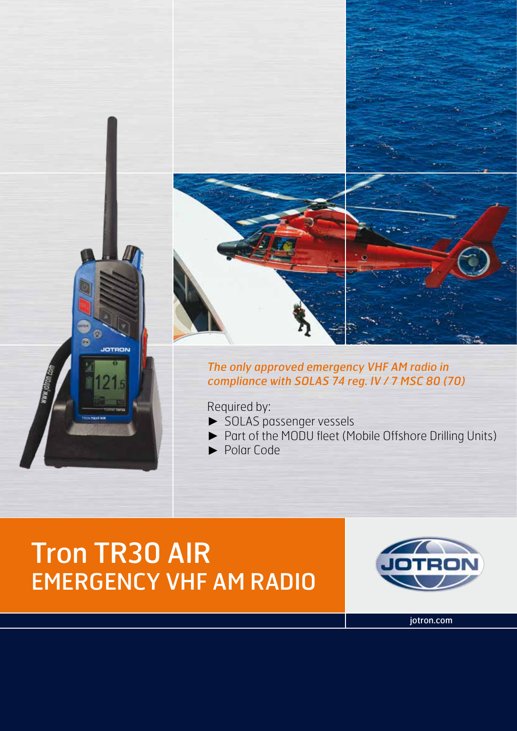

### The only approved emergency VHF AM radio in compliance with SOLAS 74 reg. IV / 7 MSC 80 (70)

Required by:

- ► SOLAS passenger vessels
- ► Part of the MODU fleet (Mobile Offshore Drilling Units)
- ► Polar Code

# Tron TR30 AIR EMERGENCY VHF AM RADIO

C

JOTRON



jotron.com